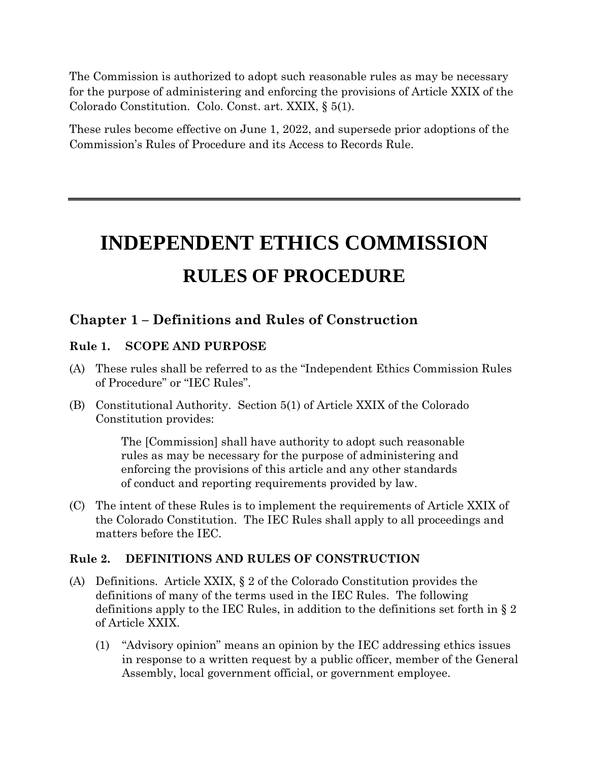The Commission is authorized to adopt such reasonable rules as may be necessary for the purpose of administering and enforcing the provisions of Article XXIX of the Colorado Constitution. Colo. Const. art. XXIX, § 5(1).

These rules become effective on June 1, 2022, and supersede prior adoptions of the Commission's Rules of Procedure and its Access to Records Rule.

# **INDEPENDENT ETHICS COMMISSION RULES OF PROCEDURE**

# **Chapter 1 – Definitions and Rules of Construction**

# **Rule 1. SCOPE AND PURPOSE**

- (A) These rules shall be referred to as the "Independent Ethics Commission Rules of Procedure" or "IEC Rules".
- (B) Constitutional Authority. Section 5(1) of Article XXIX of the Colorado Constitution provides:

The [Commission] shall have authority to adopt such reasonable rules as may be necessary for the purpose of administering and enforcing the provisions of this article and any other standards of conduct and reporting requirements provided by law.

(C) The intent of these Rules is to implement the requirements of Article XXIX of the Colorado Constitution. The IEC Rules shall apply to all proceedings and matters before the IEC.

# **Rule 2. DEFINITIONS AND RULES OF CONSTRUCTION**

- (A) Definitions. Article XXIX, § 2 of the Colorado Constitution provides the definitions of many of the terms used in the IEC Rules. The following definitions apply to the IEC Rules, in addition to the definitions set forth in § 2 of Article XXIX.
	- (1) "Advisory opinion" means an opinion by the IEC addressing ethics issues in response to a written request by a public officer, member of the General Assembly, local government official, or government employee.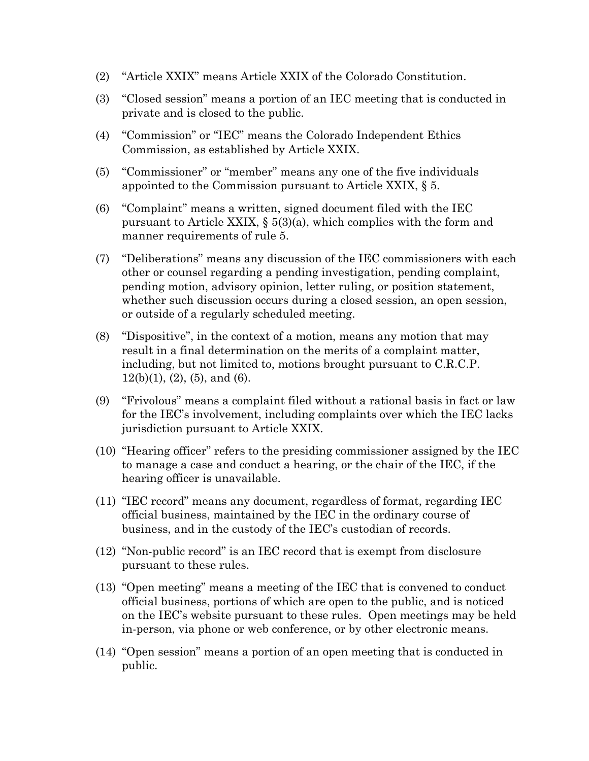- (2) "Article XXIX" means Article XXIX of the Colorado Constitution.
- (3) "Closed session" means a portion of an IEC meeting that is conducted in private and is closed to the public.
- (4) "Commission" or "IEC" means the Colorado Independent Ethics Commission, as established by Article XXIX.
- (5) "Commissioner" or "member" means any one of the five individuals appointed to the Commission pursuant to Article XXIX, § 5.
- (6) "Complaint" means a written, signed document filed with the IEC pursuant to Article XXIX,  $\S 5(3)(a)$ , which complies with the form and manner requirements of rule 5.
- (7) "Deliberations" means any discussion of the IEC commissioners with each other or counsel regarding a pending investigation, pending complaint, pending motion, advisory opinion, letter ruling, or position statement, whether such discussion occurs during a closed session, an open session, or outside of a regularly scheduled meeting.
- (8) "Dispositive", in the context of a motion, means any motion that may result in a final determination on the merits of a complaint matter, including, but not limited to, motions brought pursuant to C.R.C.P.  $12(b)(1), (2), (5),$  and  $(6).$
- (9) "Frivolous" means a complaint filed without a rational basis in fact or law for the IEC's involvement, including complaints over which the IEC lacks jurisdiction pursuant to Article XXIX.
- (10) "Hearing officer" refers to the presiding commissioner assigned by the IEC to manage a case and conduct a hearing, or the chair of the IEC, if the hearing officer is unavailable.
- (11) "IEC record" means any document, regardless of format, regarding IEC official business, maintained by the IEC in the ordinary course of business, and in the custody of the IEC's custodian of records.
- (12) "Non-public record" is an IEC record that is exempt from disclosure pursuant to these rules.
- (13) "Open meeting" means a meeting of the IEC that is convened to conduct official business, portions of which are open to the public, and is noticed on the IEC's website pursuant to these rules. Open meetings may be held in-person, via phone or web conference, or by other electronic means.
- (14) "Open session" means a portion of an open meeting that is conducted in public.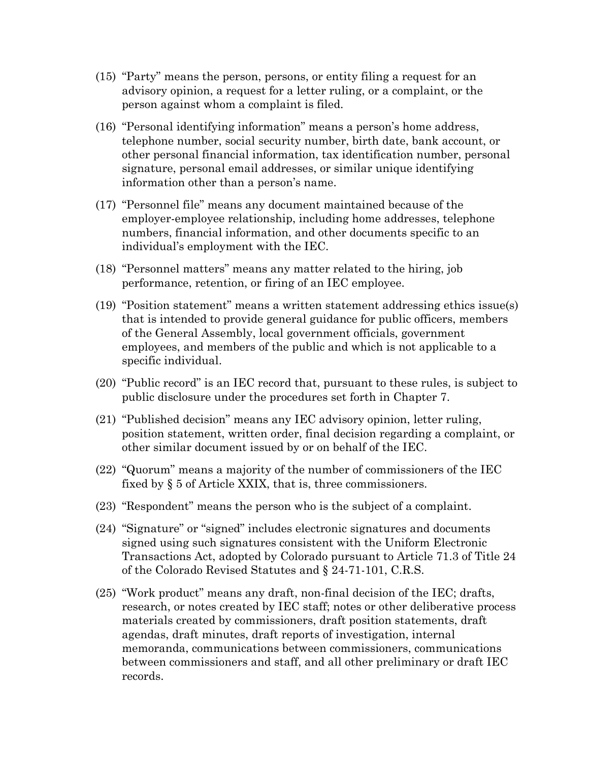- (15) "Party" means the person, persons, or entity filing a request for an advisory opinion, a request for a letter ruling, or a complaint, or the person against whom a complaint is filed.
- (16) "Personal identifying information" means a person's home address, telephone number, social security number, birth date, bank account, or other personal financial information, tax identification number, personal signature, personal email addresses, or similar unique identifying information other than a person's name.
- (17) "Personnel file" means any document maintained because of the employer-employee relationship, including home addresses, telephone numbers, financial information, and other documents specific to an individual's employment with the IEC.
- (18) "Personnel matters" means any matter related to the hiring, job performance, retention, or firing of an IEC employee.
- (19) "Position statement" means a written statement addressing ethics issue(s) that is intended to provide general guidance for public officers, members of the General Assembly, local government officials, government employees, and members of the public and which is not applicable to a specific individual.
- (20) "Public record" is an IEC record that, pursuant to these rules, is subject to public disclosure under the procedures set forth in Chapter 7.
- (21) "Published decision" means any IEC advisory opinion, letter ruling, position statement, written order, final decision regarding a complaint, or other similar document issued by or on behalf of the IEC.
- (22) "Quorum" means a majority of the number of commissioners of the IEC fixed by § 5 of Article XXIX, that is, three commissioners.
- (23) "Respondent" means the person who is the subject of a complaint.
- (24) "Signature" or "signed" includes electronic signatures and documents signed using such signatures consistent with the Uniform Electronic Transactions Act, adopted by Colorado pursuant to Article 71.3 of Title 24 of the Colorado Revised Statutes and § 24-71-101, C.R.S.
- (25) "Work product" means any draft, non-final decision of the IEC; drafts, research, or notes created by IEC staff; notes or other deliberative process materials created by commissioners, draft position statements, draft agendas, draft minutes, draft reports of investigation, internal memoranda, communications between commissioners, communications between commissioners and staff, and all other preliminary or draft IEC records.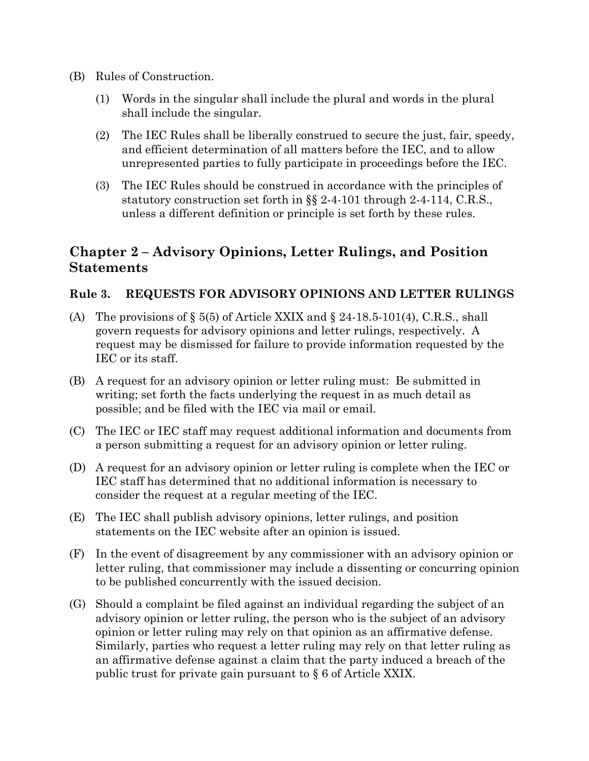- (B) Rules of Construction.
	- (1) Words in the singular shall include the plural and words in the plural shall include the singular.
	- (2) The IEC Rules shall be liberally construed to secure the just, fair, speedy, and efficient determination of all matters before the IEC, and to allow unrepresented parties to fully participate in proceedings before the IEC.
	- (3) The IEC Rules should be construed in accordance with the principles of statutory construction set forth in §§ 2-4-101 through 2-4-114, C.R.S., unless a different definition or principle is set forth by these rules.

# **Chapter 2 – Advisory Opinions, Letter Rulings, and Position Statements**

# **Rule 3. REQUESTS FOR ADVISORY OPINIONS AND LETTER RULINGS**

- (A) The provisions of  $\S 5(5)$  of Article XXIX and  $\S 24-18.5-101(4)$ , C.R.S., shall govern requests for advisory opinions and letter rulings, respectively. A request may be dismissed for failure to provide information requested by the IEC or its staff.
- (B) A request for an advisory opinion or letter ruling must: Be submitted in writing; set forth the facts underlying the request in as much detail as possible; and be filed with the IEC via mail or email.
- (C) The IEC or IEC staff may request additional information and documents from a person submitting a request for an advisory opinion or letter ruling.
- (D) A request for an advisory opinion or letter ruling is complete when the IEC or IEC staff has determined that no additional information is necessary to consider the request at a regular meeting of the IEC.
- (E) The IEC shall publish advisory opinions, letter rulings, and position statements on the IEC website after an opinion is issued.
- (F) In the event of disagreement by any commissioner with an advisory opinion or letter ruling, that commissioner may include a dissenting or concurring opinion to be published concurrently with the issued decision.
- (G) Should a complaint be filed against an individual regarding the subject of an advisory opinion or letter ruling, the person who is the subject of an advisory opinion or letter ruling may rely on that opinion as an affirmative defense. Similarly, parties who request a letter ruling may rely on that letter ruling as an affirmative defense against a claim that the party induced a breach of the public trust for private gain pursuant to § 6 of Article XXIX.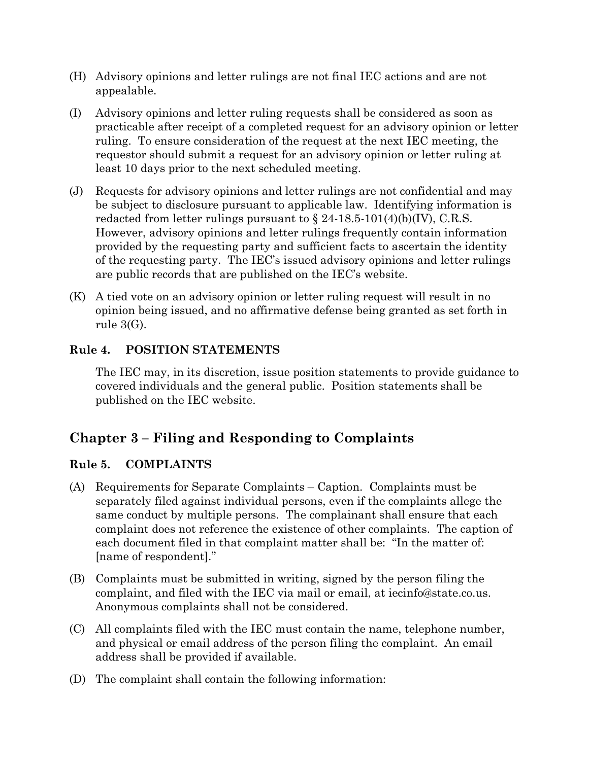- (H) Advisory opinions and letter rulings are not final IEC actions and are not appealable.
- (I) Advisory opinions and letter ruling requests shall be considered as soon as practicable after receipt of a completed request for an advisory opinion or letter ruling. To ensure consideration of the request at the next IEC meeting, the requestor should submit a request for an advisory opinion or letter ruling at least 10 days prior to the next scheduled meeting.
- (J) Requests for advisory opinions and letter rulings are not confidential and may be subject to disclosure pursuant to applicable law. Identifying information is redacted from letter rulings pursuant to  $\S$  24-18.5-101(4)(b)(IV), C.R.S. However, advisory opinions and letter rulings frequently contain information provided by the requesting party and sufficient facts to ascertain the identity of the requesting party. The IEC's issued advisory opinions and letter rulings are public records that are published on the IEC's website.
- (K) A tied vote on an advisory opinion or letter ruling request will result in no opinion being issued, and no affirmative defense being granted as set forth in rule 3(G).

# **Rule 4. POSITION STATEMENTS**

The IEC may, in its discretion, issue position statements to provide guidance to covered individuals and the general public. Position statements shall be published on the IEC website.

# **Chapter 3 – Filing and Responding to Complaints**

# **Rule 5. COMPLAINTS**

- (A) Requirements for Separate Complaints Caption. Complaints must be separately filed against individual persons, even if the complaints allege the same conduct by multiple persons. The complainant shall ensure that each complaint does not reference the existence of other complaints. The caption of each document filed in that complaint matter shall be: "In the matter of: [name of respondent]."
- (B) Complaints must be submitted in writing, signed by the person filing the complaint, and filed with the IEC via mail or email, at iecinfo@state.co.us. Anonymous complaints shall not be considered.
- (C) All complaints filed with the IEC must contain the name, telephone number, and physical or email address of the person filing the complaint. An email address shall be provided if available.
- (D) The complaint shall contain the following information: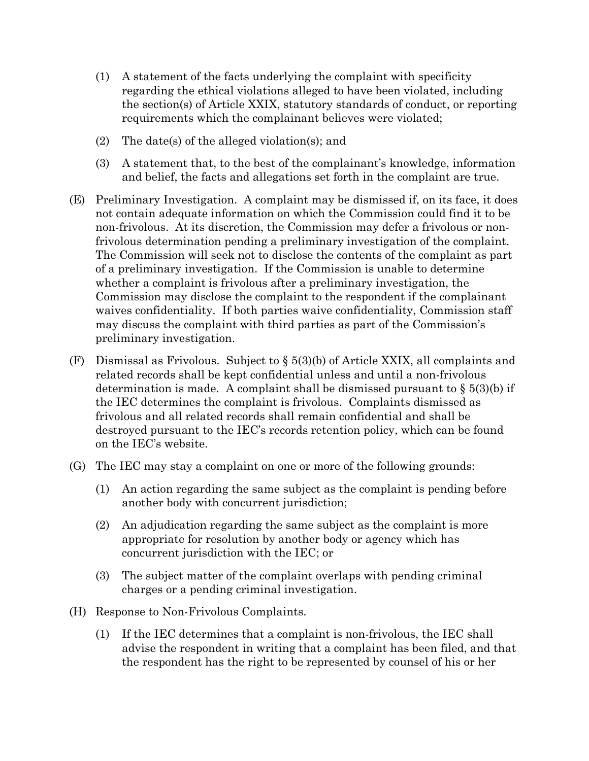- (1) A statement of the facts underlying the complaint with specificity regarding the ethical violations alleged to have been violated, including the section(s) of Article XXIX, statutory standards of conduct, or reporting requirements which the complainant believes were violated;
- (2) The date(s) of the alleged violation(s); and
- (3) A statement that, to the best of the complainant's knowledge, information and belief, the facts and allegations set forth in the complaint are true.
- (E) Preliminary Investigation. A complaint may be dismissed if, on its face, it does not contain adequate information on which the Commission could find it to be non-frivolous. At its discretion, the Commission may defer a frivolous or nonfrivolous determination pending a preliminary investigation of the complaint. The Commission will seek not to disclose the contents of the complaint as part of a preliminary investigation. If the Commission is unable to determine whether a complaint is frivolous after a preliminary investigation, the Commission may disclose the complaint to the respondent if the complainant waives confidentiality. If both parties waive confidentiality, Commission staff may discuss the complaint with third parties as part of the Commission's preliminary investigation.
- (F) Dismissal as Frivolous. Subject to  $\S 5(3)(b)$  of Article XXIX, all complaints and related records shall be kept confidential unless and until a non-frivolous determination is made. A complaint shall be dismissed pursuant to  $\S 5(3)(b)$  if the IEC determines the complaint is frivolous. Complaints dismissed as frivolous and all related records shall remain confidential and shall be destroyed pursuant to the IEC's records retention policy, which can be found on the IEC's website.
- (G) The IEC may stay a complaint on one or more of the following grounds:
	- (1) An action regarding the same subject as the complaint is pending before another body with concurrent jurisdiction;
	- (2) An adjudication regarding the same subject as the complaint is more appropriate for resolution by another body or agency which has concurrent jurisdiction with the IEC; or
	- (3) The subject matter of the complaint overlaps with pending criminal charges or a pending criminal investigation.
- (H) Response to Non-Frivolous Complaints.
	- (1) If the IEC determines that a complaint is non-frivolous, the IEC shall advise the respondent in writing that a complaint has been filed, and that the respondent has the right to be represented by counsel of his or her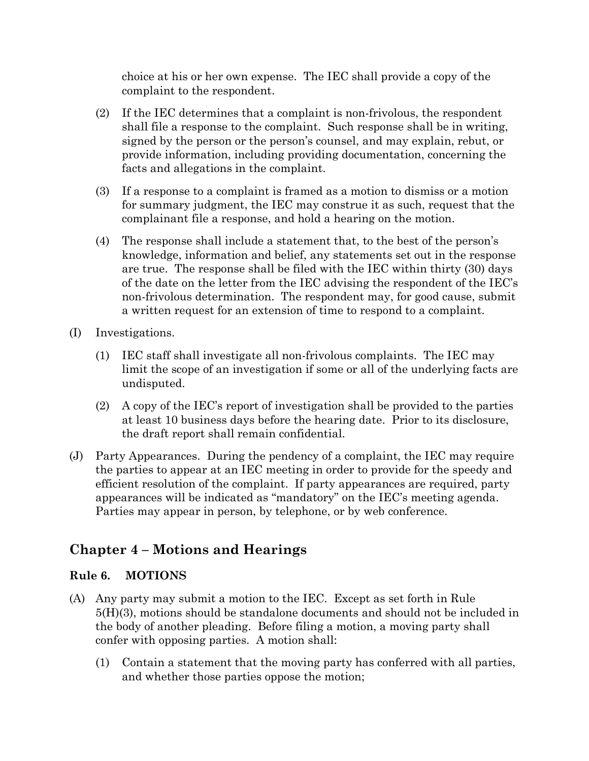choice at his or her own expense. The IEC shall provide a copy of the complaint to the respondent.

- (2) If the IEC determines that a complaint is non-frivolous, the respondent shall file a response to the complaint. Such response shall be in writing, signed by the person or the person's counsel, and may explain, rebut, or provide information, including providing documentation, concerning the facts and allegations in the complaint.
- (3) If a response to a complaint is framed as a motion to dismiss or a motion for summary judgment, the IEC may construe it as such, request that the complainant file a response, and hold a hearing on the motion.
- (4) The response shall include a statement that, to the best of the person's knowledge, information and belief, any statements set out in the response are true. The response shall be filed with the IEC within thirty (30) days of the date on the letter from the IEC advising the respondent of the IEC's non-frivolous determination. The respondent may, for good cause, submit a written request for an extension of time to respond to a complaint.
- (I) Investigations.
	- (1) IEC staff shall investigate all non-frivolous complaints. The IEC may limit the scope of an investigation if some or all of the underlying facts are undisputed.
	- (2) A copy of the IEC's report of investigation shall be provided to the parties at least 10 business days before the hearing date. Prior to its disclosure, the draft report shall remain confidential.
- (J) Party Appearances. During the pendency of a complaint, the IEC may require the parties to appear at an IEC meeting in order to provide for the speedy and efficient resolution of the complaint. If party appearances are required, party appearances will be indicated as "mandatory" on the IEC's meeting agenda. Parties may appear in person, by telephone, or by web conference.

# **Chapter 4 – Motions and Hearings**

# **Rule 6. MOTIONS**

- (A) Any party may submit a motion to the IEC. Except as set forth in Rule 5(H)(3), motions should be standalone documents and should not be included in the body of another pleading. Before filing a motion, a moving party shall confer with opposing parties. A motion shall:
	- (1) Contain a statement that the moving party has conferred with all parties, and whether those parties oppose the motion;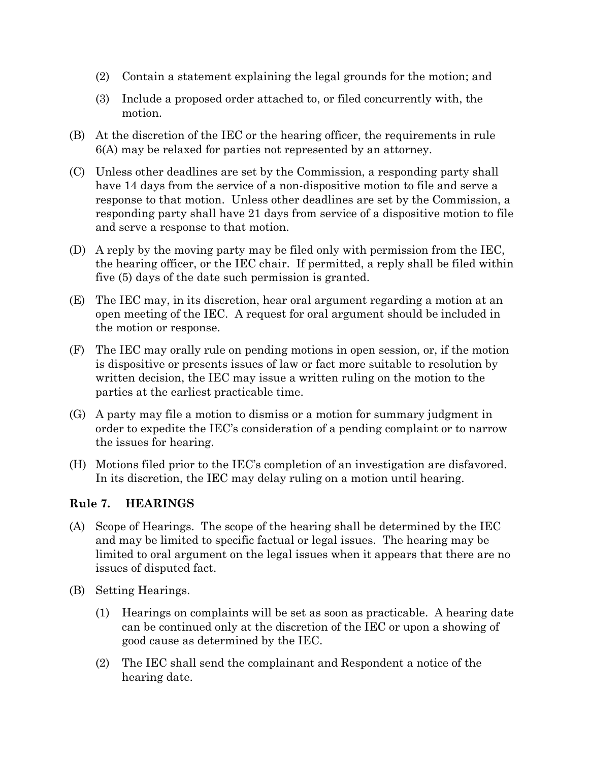- (2) Contain a statement explaining the legal grounds for the motion; and
- (3) Include a proposed order attached to, or filed concurrently with, the motion.
- (B) At the discretion of the IEC or the hearing officer, the requirements in rule 6(A) may be relaxed for parties not represented by an attorney.
- (C) Unless other deadlines are set by the Commission, a responding party shall have 14 days from the service of a non-dispositive motion to file and serve a response to that motion. Unless other deadlines are set by the Commission, a responding party shall have 21 days from service of a dispositive motion to file and serve a response to that motion.
- (D) A reply by the moving party may be filed only with permission from the IEC, the hearing officer, or the IEC chair. If permitted, a reply shall be filed within five (5) days of the date such permission is granted.
- (E) The IEC may, in its discretion, hear oral argument regarding a motion at an open meeting of the IEC. A request for oral argument should be included in the motion or response.
- (F) The IEC may orally rule on pending motions in open session, or, if the motion is dispositive or presents issues of law or fact more suitable to resolution by written decision, the IEC may issue a written ruling on the motion to the parties at the earliest practicable time.
- (G) A party may file a motion to dismiss or a motion for summary judgment in order to expedite the IEC's consideration of a pending complaint or to narrow the issues for hearing.
- (H) Motions filed prior to the IEC's completion of an investigation are disfavored. In its discretion, the IEC may delay ruling on a motion until hearing.

# **Rule 7. HEARINGS**

- (A) Scope of Hearings. The scope of the hearing shall be determined by the IEC and may be limited to specific factual or legal issues. The hearing may be limited to oral argument on the legal issues when it appears that there are no issues of disputed fact.
- (B) Setting Hearings.
	- (1) Hearings on complaints will be set as soon as practicable. A hearing date can be continued only at the discretion of the IEC or upon a showing of good cause as determined by the IEC.
	- (2) The IEC shall send the complainant and Respondent a notice of the hearing date.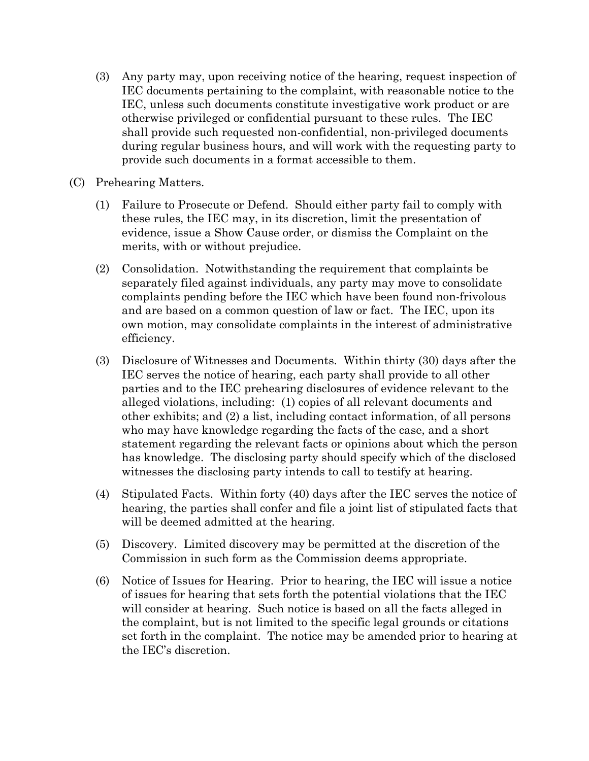- (3) Any party may, upon receiving notice of the hearing, request inspection of IEC documents pertaining to the complaint, with reasonable notice to the IEC, unless such documents constitute investigative work product or are otherwise privileged or confidential pursuant to these rules. The IEC shall provide such requested non-confidential, non-privileged documents during regular business hours, and will work with the requesting party to provide such documents in a format accessible to them.
- (C) Prehearing Matters.
	- (1) Failure to Prosecute or Defend. Should either party fail to comply with these rules, the IEC may, in its discretion, limit the presentation of evidence, issue a Show Cause order, or dismiss the Complaint on the merits, with or without prejudice.
	- (2) Consolidation. Notwithstanding the requirement that complaints be separately filed against individuals, any party may move to consolidate complaints pending before the IEC which have been found non-frivolous and are based on a common question of law or fact. The IEC, upon its own motion, may consolidate complaints in the interest of administrative efficiency.
	- (3) Disclosure of Witnesses and Documents. Within thirty (30) days after the IEC serves the notice of hearing, each party shall provide to all other parties and to the IEC prehearing disclosures of evidence relevant to the alleged violations, including: (1) copies of all relevant documents and other exhibits; and (2) a list, including contact information, of all persons who may have knowledge regarding the facts of the case, and a short statement regarding the relevant facts or opinions about which the person has knowledge. The disclosing party should specify which of the disclosed witnesses the disclosing party intends to call to testify at hearing.
	- (4) Stipulated Facts. Within forty (40) days after the IEC serves the notice of hearing, the parties shall confer and file a joint list of stipulated facts that will be deemed admitted at the hearing.
	- (5) Discovery. Limited discovery may be permitted at the discretion of the Commission in such form as the Commission deems appropriate.
	- (6) Notice of Issues for Hearing. Prior to hearing, the IEC will issue a notice of issues for hearing that sets forth the potential violations that the IEC will consider at hearing. Such notice is based on all the facts alleged in the complaint, but is not limited to the specific legal grounds or citations set forth in the complaint. The notice may be amended prior to hearing at the IEC's discretion.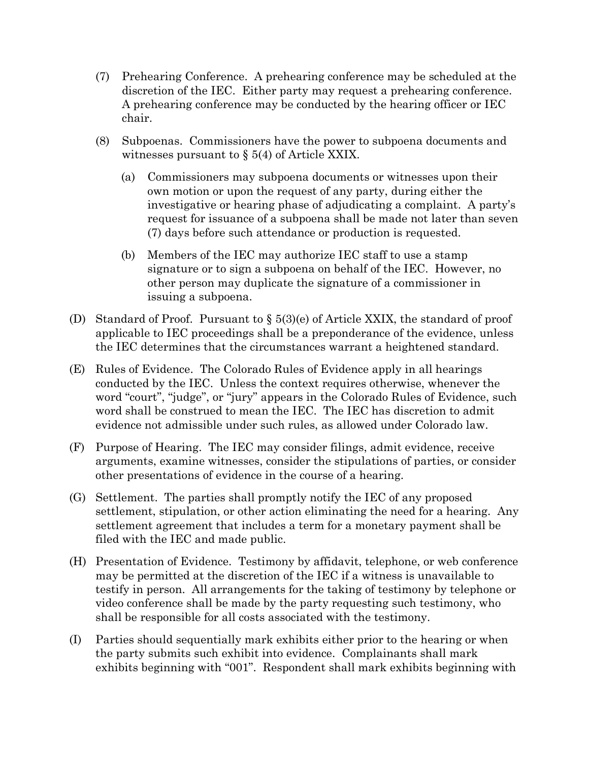- (7) Prehearing Conference. A prehearing conference may be scheduled at the discretion of the IEC. Either party may request a prehearing conference. A prehearing conference may be conducted by the hearing officer or IEC chair.
- (8) Subpoenas. Commissioners have the power to subpoena documents and witnesses pursuant to § 5(4) of Article XXIX.
	- (a) Commissioners may subpoena documents or witnesses upon their own motion or upon the request of any party, during either the investigative or hearing phase of adjudicating a complaint. A party's request for issuance of a subpoena shall be made not later than seven (7) days before such attendance or production is requested.
	- (b) Members of the IEC may authorize IEC staff to use a stamp signature or to sign a subpoena on behalf of the IEC. However, no other person may duplicate the signature of a commissioner in issuing a subpoena.
- (D) Standard of Proof. Pursuant to § 5(3)(e) of Article XXIX, the standard of proof applicable to IEC proceedings shall be a preponderance of the evidence, unless the IEC determines that the circumstances warrant a heightened standard.
- (E) Rules of Evidence. The Colorado Rules of Evidence apply in all hearings conducted by the IEC. Unless the context requires otherwise, whenever the word "court", "judge", or "jury" appears in the Colorado Rules of Evidence, such word shall be construed to mean the IEC. The IEC has discretion to admit evidence not admissible under such rules, as allowed under Colorado law.
- (F) Purpose of Hearing. The IEC may consider filings, admit evidence, receive arguments, examine witnesses, consider the stipulations of parties, or consider other presentations of evidence in the course of a hearing.
- (G) Settlement. The parties shall promptly notify the IEC of any proposed settlement, stipulation, or other action eliminating the need for a hearing. Any settlement agreement that includes a term for a monetary payment shall be filed with the IEC and made public.
- (H) Presentation of Evidence. Testimony by affidavit, telephone, or web conference may be permitted at the discretion of the IEC if a witness is unavailable to testify in person. All arrangements for the taking of testimony by telephone or video conference shall be made by the party requesting such testimony, who shall be responsible for all costs associated with the testimony.
- (I) Parties should sequentially mark exhibits either prior to the hearing or when the party submits such exhibit into evidence. Complainants shall mark exhibits beginning with "001". Respondent shall mark exhibits beginning with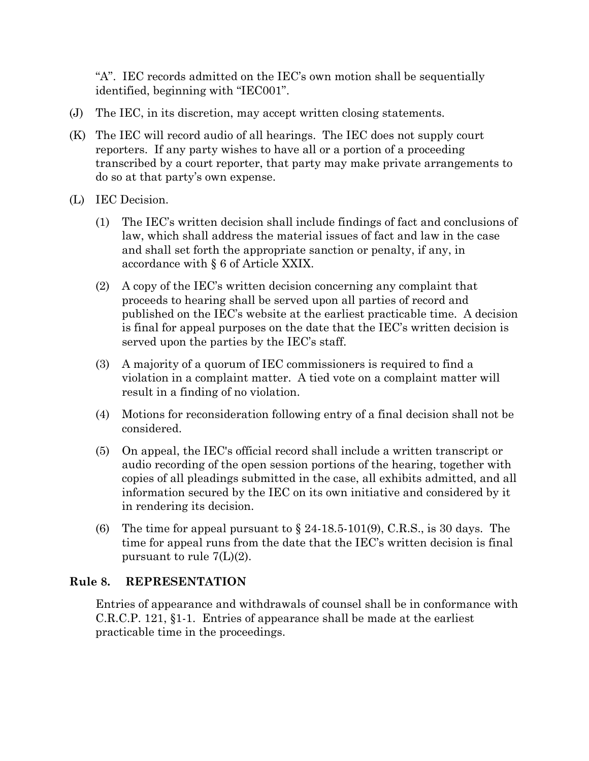"A". IEC records admitted on the IEC's own motion shall be sequentially identified, beginning with "IEC001".

- (J) The IEC, in its discretion, may accept written closing statements.
- (K) The IEC will record audio of all hearings. The IEC does not supply court reporters. If any party wishes to have all or a portion of a proceeding transcribed by a court reporter, that party may make private arrangements to do so at that party's own expense.
- (L) IEC Decision.
	- (1) The IEC's written decision shall include findings of fact and conclusions of law, which shall address the material issues of fact and law in the case and shall set forth the appropriate sanction or penalty, if any, in accordance with § 6 of Article XXIX.
	- (2) A copy of the IEC's written decision concerning any complaint that proceeds to hearing shall be served upon all parties of record and published on the IEC's website at the earliest practicable time. A decision is final for appeal purposes on the date that the IEC's written decision is served upon the parties by the IEC's staff.
	- (3) A majority of a quorum of IEC commissioners is required to find a violation in a complaint matter. A tied vote on a complaint matter will result in a finding of no violation.
	- (4) Motions for reconsideration following entry of a final decision shall not be considered.
	- (5) On appeal, the IEC's official record shall include a written transcript or audio recording of the open session portions of the hearing, together with copies of all pleadings submitted in the case, all exhibits admitted, and all information secured by the IEC on its own initiative and considered by it in rendering its decision.
	- (6) The time for appeal pursuant to  $\S$  24-18.5-101(9), C.R.S., is 30 days. The time for appeal runs from the date that the IEC's written decision is final pursuant to rule 7(L)(2).

# **Rule 8. REPRESENTATION**

Entries of appearance and withdrawals of counsel shall be in conformance with C.R.C.P. 121, §1-1. Entries of appearance shall be made at the earliest practicable time in the proceedings.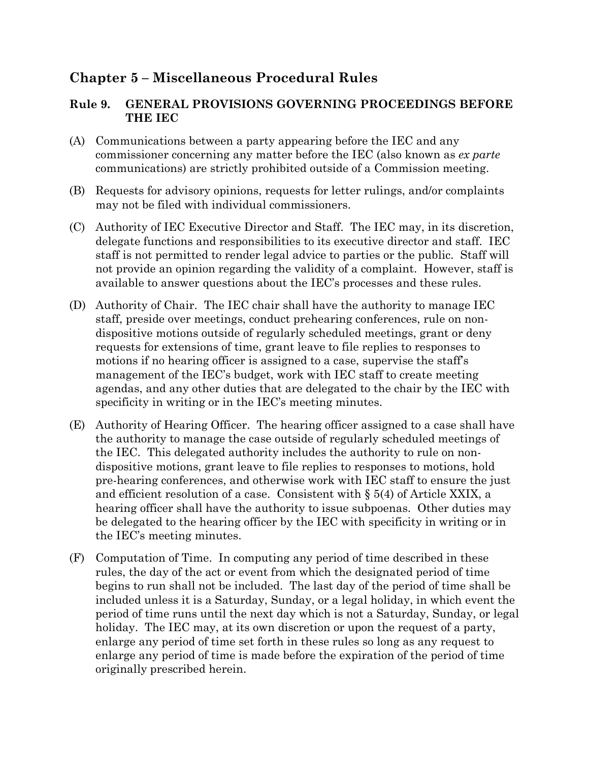# **Chapter 5 – Miscellaneous Procedural Rules**

# **Rule 9. GENERAL PROVISIONS GOVERNING PROCEEDINGS BEFORE THE IEC**

- (A) Communications between a party appearing before the IEC and any commissioner concerning any matter before the IEC (also known as *ex parte* communications) are strictly prohibited outside of a Commission meeting.
- (B) Requests for advisory opinions, requests for letter rulings, and/or complaints may not be filed with individual commissioners.
- (C) Authority of IEC Executive Director and Staff. The IEC may, in its discretion, delegate functions and responsibilities to its executive director and staff. IEC staff is not permitted to render legal advice to parties or the public. Staff will not provide an opinion regarding the validity of a complaint. However, staff is available to answer questions about the IEC's processes and these rules.
- (D) Authority of Chair. The IEC chair shall have the authority to manage IEC staff, preside over meetings, conduct prehearing conferences, rule on nondispositive motions outside of regularly scheduled meetings, grant or deny requests for extensions of time, grant leave to file replies to responses to motions if no hearing officer is assigned to a case, supervise the staff's management of the IEC's budget, work with IEC staff to create meeting agendas, and any other duties that are delegated to the chair by the IEC with specificity in writing or in the IEC's meeting minutes.
- (E) Authority of Hearing Officer. The hearing officer assigned to a case shall have the authority to manage the case outside of regularly scheduled meetings of the IEC. This delegated authority includes the authority to rule on nondispositive motions, grant leave to file replies to responses to motions, hold pre-hearing conferences, and otherwise work with IEC staff to ensure the just and efficient resolution of a case. Consistent with § 5(4) of Article XXIX, a hearing officer shall have the authority to issue subpoenas. Other duties may be delegated to the hearing officer by the IEC with specificity in writing or in the IEC's meeting minutes.
- (F) Computation of Time. In computing any period of time described in these rules, the day of the act or event from which the designated period of time begins to run shall not be included. The last day of the period of time shall be included unless it is a Saturday, Sunday, or a legal holiday, in which event the period of time runs until the next day which is not a Saturday, Sunday, or legal holiday. The IEC may, at its own discretion or upon the request of a party, enlarge any period of time set forth in these rules so long as any request to enlarge any period of time is made before the expiration of the period of time originally prescribed herein.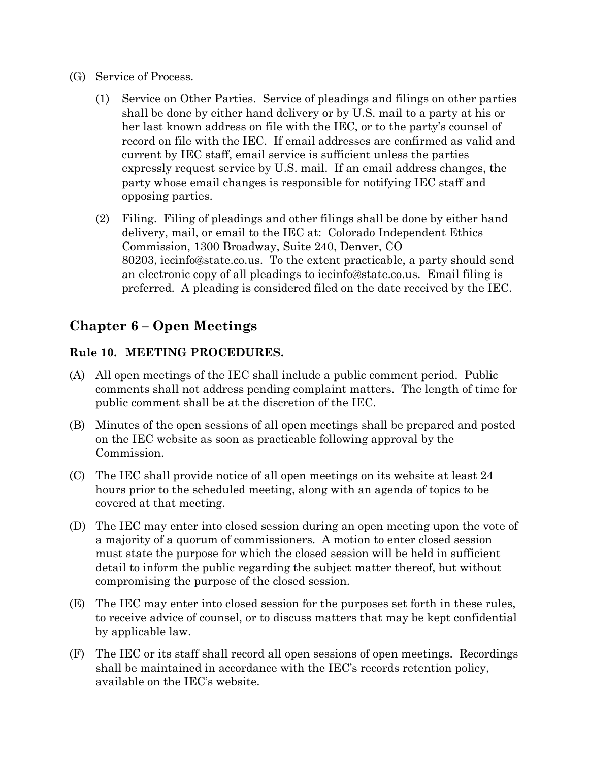- (G) Service of Process.
	- (1) Service on Other Parties. Service of pleadings and filings on other parties shall be done by either hand delivery or by U.S. mail to a party at his or her last known address on file with the IEC, or to the party's counsel of record on file with the IEC. If email addresses are confirmed as valid and current by IEC staff, email service is sufficient unless the parties expressly request service by U.S. mail. If an email address changes, the party whose email changes is responsible for notifying IEC staff and opposing parties.
	- (2) Filing. Filing of pleadings and other filings shall be done by either hand delivery, mail, or email to the IEC at: Colorado Independent Ethics Commission, 1300 Broadway, Suite 240, Denver, CO 80203, iecinfo@state.co.us. To the extent practicable, a party should send an electronic copy of all pleadings to iecinfo@state.co.us. Email filing is preferred. A pleading is considered filed on the date received by the IEC.

# **Chapter 6 – Open Meetings**

#### **Rule 10. MEETING PROCEDURES.**

- (A) All open meetings of the IEC shall include a public comment period. Public comments shall not address pending complaint matters. The length of time for public comment shall be at the discretion of the IEC.
- (B) Minutes of the open sessions of all open meetings shall be prepared and posted on the IEC website as soon as practicable following approval by the Commission.
- (C) The IEC shall provide notice of all open meetings on its website at least 24 hours prior to the scheduled meeting, along with an agenda of topics to be covered at that meeting.
- (D) The IEC may enter into closed session during an open meeting upon the vote of a majority of a quorum of commissioners. A motion to enter closed session must state the purpose for which the closed session will be held in sufficient detail to inform the public regarding the subject matter thereof, but without compromising the purpose of the closed session.
- (E) The IEC may enter into closed session for the purposes set forth in these rules, to receive advice of counsel, or to discuss matters that may be kept confidential by applicable law.
- (F) The IEC or its staff shall record all open sessions of open meetings. Recordings shall be maintained in accordance with the IEC's records retention policy, available on the IEC's website.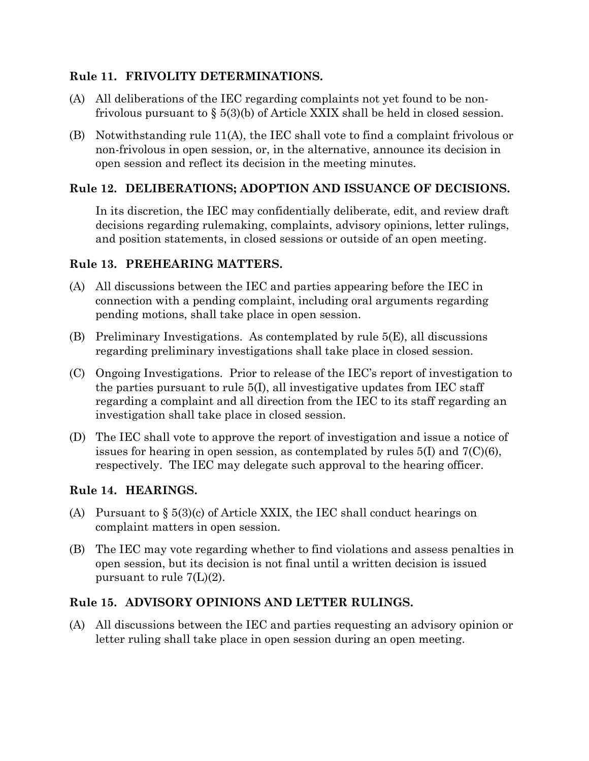#### **Rule 11. FRIVOLITY DETERMINATIONS.**

- (A) All deliberations of the IEC regarding complaints not yet found to be nonfrivolous pursuant to § 5(3)(b) of Article XXIX shall be held in closed session.
- (B) Notwithstanding rule  $11(A)$ , the IEC shall vote to find a complaint frivolous or non-frivolous in open session, or, in the alternative, announce its decision in open session and reflect its decision in the meeting minutes.

#### **Rule 12. DELIBERATIONS; ADOPTION AND ISSUANCE OF DECISIONS.**

In its discretion, the IEC may confidentially deliberate, edit, and review draft decisions regarding rulemaking, complaints, advisory opinions, letter rulings, and position statements, in closed sessions or outside of an open meeting.

#### **Rule 13. PREHEARING MATTERS.**

- (A) All discussions between the IEC and parties appearing before the IEC in connection with a pending complaint, including oral arguments regarding pending motions, shall take place in open session.
- (B) Preliminary Investigations. As contemplated by rule 5(E), all discussions regarding preliminary investigations shall take place in closed session.
- (C) Ongoing Investigations. Prior to release of the IEC's report of investigation to the parties pursuant to rule  $5(I)$ , all investigative updates from IEC staff regarding a complaint and all direction from the IEC to its staff regarding an investigation shall take place in closed session.
- (D) The IEC shall vote to approve the report of investigation and issue a notice of issues for hearing in open session, as contemplated by rules  $5(I)$  and  $7(C)(6)$ , respectively. The IEC may delegate such approval to the hearing officer.

# **Rule 14. HEARINGS.**

- (A) Pursuant to  $\S 5(3)(c)$  of Article XXIX, the IEC shall conduct hearings on complaint matters in open session.
- (B) The IEC may vote regarding whether to find violations and assess penalties in open session, but its decision is not final until a written decision is issued pursuant to rule 7(L)(2).

# **Rule 15. ADVISORY OPINIONS AND LETTER RULINGS.**

(A) All discussions between the IEC and parties requesting an advisory opinion or letter ruling shall take place in open session during an open meeting.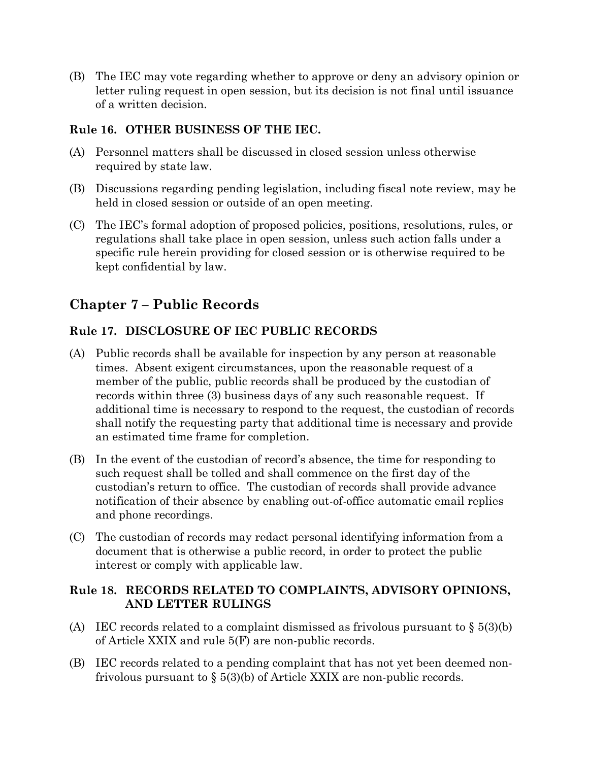(B) The IEC may vote regarding whether to approve or deny an advisory opinion or letter ruling request in open session, but its decision is not final until issuance of a written decision.

# **Rule 16. OTHER BUSINESS OF THE IEC.**

- (A) Personnel matters shall be discussed in closed session unless otherwise required by state law.
- (B) Discussions regarding pending legislation, including fiscal note review, may be held in closed session or outside of an open meeting.
- (C) The IEC's formal adoption of proposed policies, positions, resolutions, rules, or regulations shall take place in open session, unless such action falls under a specific rule herein providing for closed session or is otherwise required to be kept confidential by law.

# **Chapter 7 – Public Records**

# **Rule 17. DISCLOSURE OF IEC PUBLIC RECORDS**

- (A) Public records shall be available for inspection by any person at reasonable times. Absent exigent circumstances, upon the reasonable request of a member of the public, public records shall be produced by the custodian of records within three (3) business days of any such reasonable request. If additional time is necessary to respond to the request, the custodian of records shall notify the requesting party that additional time is necessary and provide an estimated time frame for completion.
- (B) In the event of the custodian of record's absence, the time for responding to such request shall be tolled and shall commence on the first day of the custodian's return to office. The custodian of records shall provide advance notification of their absence by enabling out-of-office automatic email replies and phone recordings.
- (C) The custodian of records may redact personal identifying information from a document that is otherwise a public record, in order to protect the public interest or comply with applicable law.

#### **Rule 18. RECORDS RELATED TO COMPLAINTS, ADVISORY OPINIONS, AND LETTER RULINGS**

- (A) IEC records related to a complaint dismissed as frivolous pursuant to  $\S 5(3)(b)$ of Article XXIX and rule 5(F) are non-public records.
- (B) IEC records related to a pending complaint that has not yet been deemed nonfrivolous pursuant to  $\S$  5(3)(b) of Article XXIX are non-public records.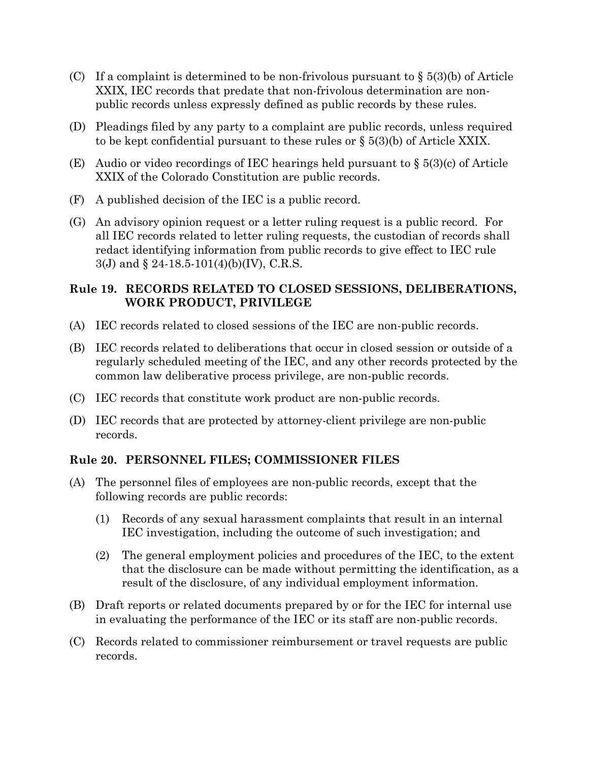- (C) If a complaint is determined to be non-frivolous pursuant to  $\S$  5(3)(b) of Article XXIX, IEC records that predate that non-frivolous determination are nonpublic records unless expressly defined as public records by these rules.
- (D) Pleadings filed by any party to a complaint are public records, unless required to be kept confidential pursuant to these rules or  $\S$  5(3)(b) of Article XXIX.
- (E) Audio or video recordings of IEC hearings held pursuant to § 5(3)(c) of Article XXIX of the Colorado Constitution are public records.
- (F) A published decision of the IEC is a public record.
- (G) An advisory opinion request or a letter ruling request is a public record. For all IEC records related to letter ruling requests, the custodian of records shall redact identifying information from public records to give effect to IEC rule 3(J) and § 24-18.5-101(4)(b)(IV), C.R.S.

# **Rule 19. RECORDS RELATED TO CLOSED SESSIONS, DELIBERATIONS, WORK PRODUCT, PRIVILEGE**

- (A) IEC records related to closed sessions of the IEC are non-public records.
- (B) IEC records related to deliberations that occur in closed session or outside of a regularly scheduled meeting of the IEC, and any other records protected by the common law deliberative process privilege, are non-public records.
- (C) IEC records that constitute work product are non-public records.
- (D) IEC records that are protected by attorney-client privilege are non-public records.

# **Rule 20. PERSONNEL FILES; COMMISSIONER FILES**

- (A) The personnel files of employees are non-public records, except that the following records are public records:
	- (1) Records of any sexual harassment complaints that result in an internal IEC investigation, including the outcome of such investigation; and
	- (2) The general employment policies and procedures of the IEC, to the extent that the disclosure can be made without permitting the identification, as a result of the disclosure, of any individual employment information.
- (B) Draft reports or related documents prepared by or for the IEC for internal use in evaluating the performance of the IEC or its staff are non-public records.
- (C) Records related to commissioner reimbursement or travel requests are public records.